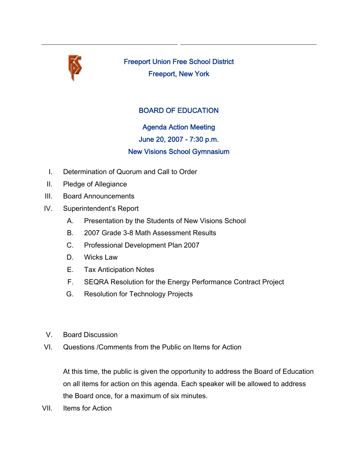

Freeport Union Free School District Freeport, New York

## BOARD OF EDUCATION

Agenda Action Meeting June 20, 2007 - 7:30 p.m. New Visions School Gymnasium

- I. Determination of Quorum and Call to Order
- II. Pledge of Allegiance
- III. Board Announcements
- IV. Superintendent's Report
	- A. Presentation by the Students of New Visions School
	- B. 2007 Grade 3-8 Math Assessment Results
	- C. Professional Development Plan 2007
	- D. Wicks Law
	- E. Tax Anticipation Notes
	- F. SEQRA Resolution for the Energy Performance Contract Project
	- G. Resolution for Technology Projects
- V. Board Discussion
- VI. Questions /Comments from the Public on Items for Action

At this time, the public is given the opportunity to address the Board of Education on all items for action on this agenda. Each speaker will be allowed to address the Board once, for a maximum of six minutes.

VII. Items for Action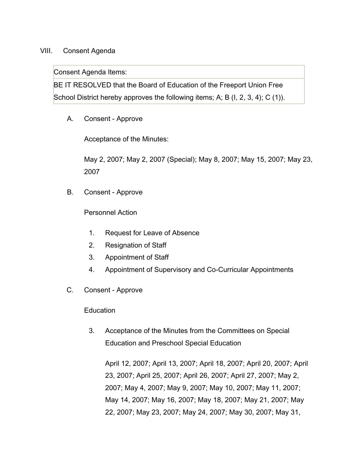## VIII. Consent Agenda

Consent Agenda Items:

BE IT RESOLVED that the Board of Education of the Freeport Union Free School District hereby approves the following items; A; B (I, 2, 3, 4); C (1)).

A. Consent - Approve

Acceptance of the Minutes:

May 2, 2007; May 2, 2007 (Special); May 8, 2007; May 15, 2007; May 23, 2007

B. Consent - Approve

Personnel Action

- 1. Request for Leave of Absence
- 2. Resignation of Staff
- 3. Appointment of Staff
- 4. Appointment of Supervisory and Co-Curricular Appointments
- C. Consent Approve

**Education** 

3. Acceptance of the Minutes from the Committees on Special Education and Preschool Special Education

April 12, 2007; April 13, 2007; April 18, 2007; April 20, 2007; April 23, 2007; April 25, 2007; April 26, 2007; April 27, 2007; May 2, 2007; May 4, 2007; May 9, 2007; May 10, 2007; May 11, 2007; May 14, 2007; May 16, 2007; May 18, 2007; May 21, 2007; May 22, 2007; May 23, 2007; May 24, 2007; May 30, 2007; May 31,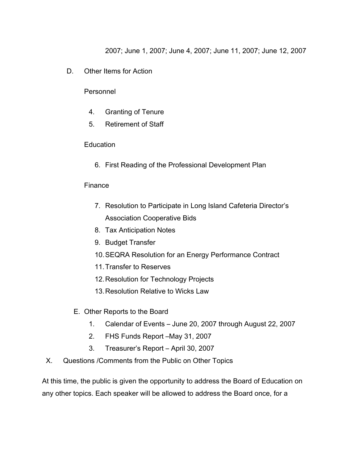2007; June 1, 2007; June 4, 2007; June 11, 2007; June 12, 2007

D. Other Items for Action

Personnel

- 4. Granting of Tenure
- 5. Retirement of Staff

## **Education**

6. First Reading of the Professional Development Plan

## Finance

- 7. Resolution to Participate in Long Island Cafeteria Director's Association Cooperative Bids
- 8. Tax Anticipation Notes
- 9. Budget Transfer
- 10.SEQRA Resolution for an Energy Performance Contract
- 11.Transfer to Reserves
- 12.Resolution for Technology Projects
- 13.Resolution Relative to Wicks Law
- E. Other Reports to the Board
	- 1. Calendar of Events June 20, 2007 through August 22, 2007
	- 2. FHS Funds Report –May 31, 2007
	- 3. Treasurer's Report April 30, 2007
- X. Questions /Comments from the Public on Other Topics

At this time, the public is given the opportunity to address the Board of Education on any other topics. Each speaker will be allowed to address the Board once, for a